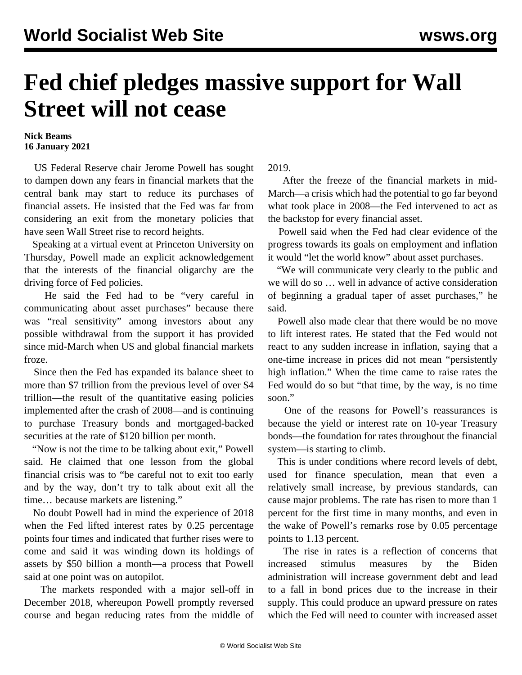## **Fed chief pledges massive support for Wall Street will not cease**

## **Nick Beams 16 January 2021**

 US Federal Reserve chair Jerome Powell has sought to dampen down any fears in financial markets that the central bank may start to reduce its purchases of financial assets. He insisted that the Fed was far from considering an exit from the monetary policies that have seen Wall Street rise to record heights.

 Speaking at a virtual event at Princeton University on Thursday, Powell made an explicit acknowledgement that the interests of the financial oligarchy are the driving force of Fed policies.

 He said the Fed had to be "very careful in communicating about asset purchases" because there was "real sensitivity" among investors about any possible withdrawal from the support it has provided since mid-March when US and global financial markets froze.

 Since then the Fed has expanded its balance sheet to more than \$7 trillion from the previous level of over \$4 trillion—the result of the quantitative easing policies implemented after the crash of 2008—and is continuing to purchase Treasury bonds and mortgaged-backed securities at the rate of \$120 billion per month.

 "Now is not the time to be talking about exit," Powell said. He claimed that one lesson from the global financial crisis was to "be careful not to exit too early and by the way, don't try to talk about exit all the time… because markets are listening."

 No doubt Powell had in mind the experience of 2018 when the Fed lifted interest rates by 0.25 percentage points four times and indicated that further rises were to come and said it was winding down its holdings of assets by \$50 billion a month—a process that Powell said at one point was on autopilot.

 The markets responded with a major sell-off in December 2018, whereupon Powell promptly reversed course and began reducing rates from the middle of 2019.

 After the freeze of the financial markets in mid-March—a crisis which had the potential to go far beyond what took place in 2008—the Fed intervened to act as the backstop for every financial asset.

 Powell said when the Fed had clear evidence of the progress towards its goals on employment and inflation it would "let the world know" about asset purchases.

 "We will communicate very clearly to the public and we will do so … well in advance of active consideration of beginning a gradual taper of asset purchases," he said.

 Powell also made clear that there would be no move to lift interest rates. He stated that the Fed would not react to any sudden increase in inflation, saying that a one-time increase in prices did not mean "persistently high inflation." When the time came to raise rates the Fed would do so but "that time, by the way, is no time soon."

 One of the reasons for Powell's reassurances is because the yield or interest rate on 10-year Treasury bonds—the foundation for rates throughout the financial system—is starting to climb.

 This is under conditions where record levels of debt, used for finance speculation, mean that even a relatively small increase, by previous standards, can cause major problems. The rate has risen to more than 1 percent for the first time in many months, and even in the wake of Powell's remarks rose by 0.05 percentage points to 1.13 percent.

 The rise in rates is a reflection of concerns that increased stimulus measures by the Biden administration will increase government debt and lead to a fall in bond prices due to the increase in their supply. This could produce an upward pressure on rates which the Fed will need to counter with increased asset